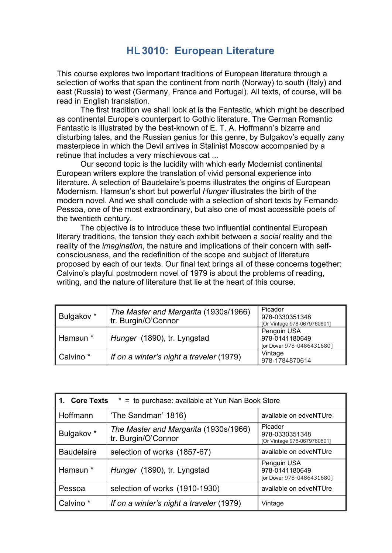## **HL3010: European Literature**

This course explores two important traditions of European literature through a selection of works that span the continent from north (Norway) to south (Italy) and east (Russia) to west (Germany, France and Portugal). All texts, of course, will be read in English translation.

The first tradition we shall look at is the Fantastic, which might be described as continental Europe's counterpart to Gothic literature. The German Romantic Fantastic is illustrated by the best-known of E. T. A. Hoffmann's bizarre and disturbing tales, and the Russian genius for this genre, by Bulgakov's equally zany masterpiece in which the Devil arrives in Stalinist Moscow accompanied by a retinue that includes a very mischievous cat ...

Our second topic is the lucidity with which early Modernist continental European writers explore the translation of vivid personal experience into literature. A selection of Baudelaire's poems illustrates the origins of European Modernism. Hamsun's short but powerful *Hunger* illustrates the birth of the modern novel. And we shall conclude with a selection of short texts by Fernando Pessoa, one of the most extraordinary, but also one of most accessible poets of the twentieth century.

The objective is to introduce these two influential continental European literary traditions, the tension they each exhibit between a *social* reality and the reality of the *imagination*, the nature and implications of their concern with selfconsciousness, and the redefinition of the scope and subject of literature proposed by each of our texts. Our final text brings all of these concerns together: Calvino's playful postmodern novel of 1979 is about the problems of reading, writing, and the nature of literature that lie at the heart of this course.

| Bulgakov *           | The Master and Margarita (1930s/1966)<br>tr. Burgin/O'Connor | Picador<br>978-0330351348<br>[Or Vintage 978-0679760801]   |
|----------------------|--------------------------------------------------------------|------------------------------------------------------------|
| Hamsun <sup>*</sup>  | Hunger (1890), tr. Lyngstad                                  | Penguin USA<br>978-0141180649<br>[or Dover 978-0486431680] |
| Calvino <sup>*</sup> | If on a winter's night a traveler (1979)                     | Vintage<br>978-1784870614                                  |

| <b>Core Texts</b><br>* = to purchase: available at Yun Nan Book Store<br>1. |                                                              |                                                            |
|-----------------------------------------------------------------------------|--------------------------------------------------------------|------------------------------------------------------------|
| Hoffmann                                                                    | 'The Sandman' 1816)                                          | available on edveNTUre                                     |
| Bulgakov *                                                                  | The Master and Margarita (1930s/1966)<br>tr. Burgin/O'Connor | Picador<br>978-0330351348<br>[Or Vintage 978-0679760801]   |
| <b>Baudelaire</b>                                                           | selection of works (1857-67)                                 | available on edveNTUre                                     |
| Hamsun *                                                                    | Hunger (1890), tr. Lyngstad                                  | Penguin USA<br>978-0141180649<br>[or Dover 978-0486431680] |
| Pessoa                                                                      | selection of works (1910-1930)                               | available on edveNTUre                                     |
| Calvino <sup>*</sup>                                                        | If on a winter's night a traveler (1979)                     | Vintage                                                    |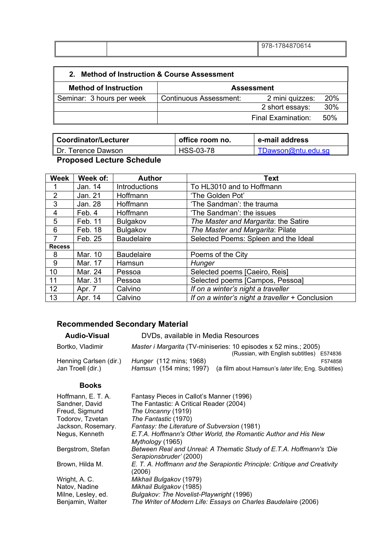|  | 1784870614<br>$78-$<br>ч<br>$\cup$ |
|--|------------------------------------|
|  |                                    |

| <b>Method of Instruction &amp; Course Assessment</b><br>2 |                        |                    |            |
|-----------------------------------------------------------|------------------------|--------------------|------------|
| <b>Method of Instruction</b>                              | <b>Assessment</b>      |                    |            |
| Seminar: 3 hours per week                                 | Continuous Assessment: | 2 mini quizzes:    | <b>20%</b> |
|                                                           |                        | 2 short essays:    | 30%        |
|                                                           |                        | Final Examination: | 50%        |

| Coordinator/Lecturer | office room no. | e-mail address     |
|----------------------|-----------------|--------------------|
| . Dr. Terence Dawson | HSS-03-78       | TDawson@ntu.edu.sg |

## **Proposed Lecture Schedule**

| <b>Week</b>    | Week of: | <b>Author</b>     | Text                                            |
|----------------|----------|-------------------|-------------------------------------------------|
|                | Jan. 14  | Introductions     | To HL3010 and to Hoffmann                       |
| $\overline{2}$ | Jan. 21  | Hoffmann          | 'The Golden Pot'                                |
| 3              | Jan. 28  | Hoffmann          | 'The Sandman': the trauma                       |
| 4              | Feb. 4   | Hoffmann          | 'The Sandman': the issues                       |
| 5              | Feb. 11  | Bulgakov          | The Master and Margarita: the Satire            |
| 6              | Feb. 18  | Bulgakov          | The Master and Margarita: Pilate                |
| 7              | Feb. 25  | <b>Baudelaire</b> | Selected Poems: Spleen and the Ideal            |
| <b>Recess</b>  |          |                   |                                                 |
| 8              | Mar. 10  | <b>Baudelaire</b> | Poems of the City                               |
| 9              | Mar. 17  | Hamsun            | Hunger                                          |
| 10             | Mar. 24  | Pessoa            | Selected poems [Caeiro, Reis]                   |
| 11             | Mar. 31  | Pessoa            | Selected poems [Campos, Pessoa]                 |
| 12             | Apr. 7   | Calvino           | If on a winter's night a traveller              |
| 13             | Apr. 14  | Calvino           | If on a winter's night a traveller + Conclusion |

## **Recommended Secondary Material**

| <b>Audio-Visual</b>    | DVDs, available in Media Resources |                                                                  |         |
|------------------------|------------------------------------|------------------------------------------------------------------|---------|
| Bortko, Vladimir       |                                    | Master i Margarita (TV-miniseries: 10 episodes x 52 mins.; 2005) |         |
|                        |                                    | (Russian, with English subtitles) E574836                        |         |
| Henning Carlsen (dir.) | <i>Hunger</i> (112 mins; 1968)     |                                                                  | F574858 |
| Jan Troell (dir.)      | Hamsun (154 mins; 1997)            | (a film about Hamsun's <i>later</i> life; Eng. Subtitles)        |         |
|                        |                                    |                                                                  |         |

## **Books**

| Hoffmann, E. T. A. | Fantasy Pieces in Callot's Manner (1996)                                                       |
|--------------------|------------------------------------------------------------------------------------------------|
| Sandner, David     | The Fantastic: A Critical Reader (2004)                                                        |
| Freud, Sigmund     | The Uncanny (1919)                                                                             |
| Todorov, Tzvetan   | The Fantastic (1970)                                                                           |
| Jackson, Rosemary. | Fantasy: the Literature of Subversion (1981)                                                   |
| Negus, Kenneth     | E.T.A. Hoffmann's Other World, the Romantic Author and His New<br>Mythology (1965)             |
| Bergstrom, Stefan  | Between Real and Unreal: A Thematic Study of E.T.A. Hoffmann's 'Die<br>Serapionsbruder' (2000) |
| Brown, Hilda M.    | E. T. A. Hoffmann and the Serapiontic Principle: Critique and Creativity<br>(2006)             |
| Wright, A. C.      | Mikhail Bulgakov (1979)                                                                        |
| Natov, Nadine      | Mikhail Bulgakov (1985)                                                                        |
| Milne, Lesley, ed. | Bulgakov: The Novelist-Playwright (1996)                                                       |
| Benjamin, Walter   | The Writer of Modern Life: Essays on Charles Baudelaire (2006)                                 |